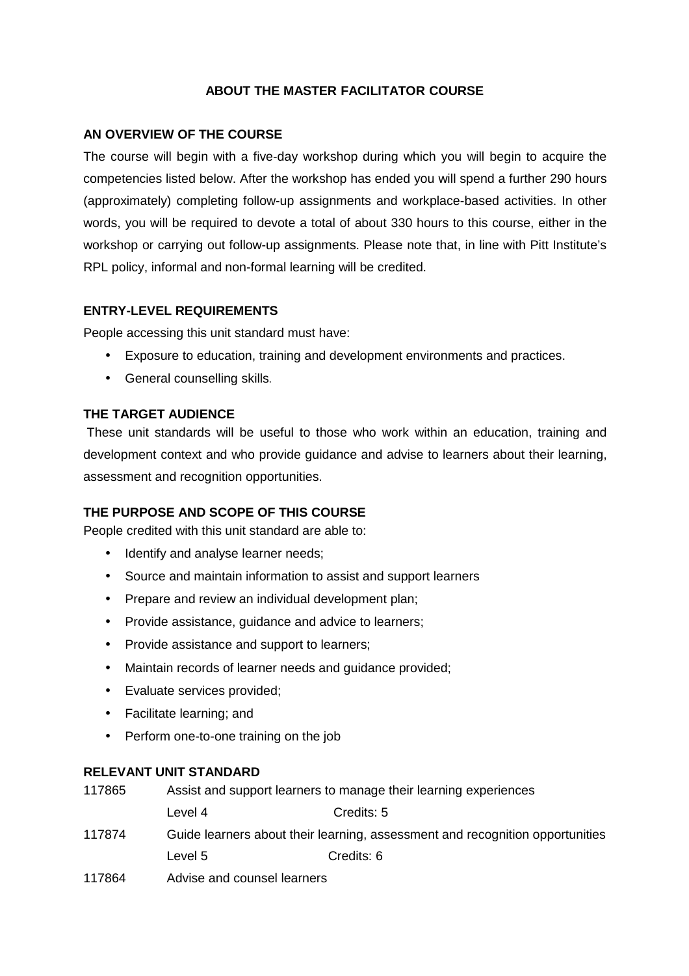## **ABOUT THE MASTER FACILITATOR COURSE**

### **AN OVERVIEW OF THE COURSE**

The course will begin with a five-day workshop during which you will begin to acquire the competencies listed below. After the workshop has ended you will spend a further 290 hours (approximately) completing follow-up assignments and workplace-based activities. In other words, you will be required to devote a total of about 330 hours to this course, either in the workshop or carrying out follow-up assignments. Please note that, in line with Pitt Institute's RPL policy, informal and non-formal learning will be credited.

### **ENTRY-LEVEL REQUIREMENTS**

People accessing this unit standard must have:

- Exposure to education, training and development environments and practices.
- General counselling skills.

## **THE TARGET AUDIENCE**

These unit standards will be useful to those who work within an education, training and development context and who provide guidance and advise to learners about their learning, assessment and recognition opportunities.

## **THE PURPOSE AND SCOPE OF THIS COURSE**

People credited with this unit standard are able to:

- Identify and analyse learner needs;
- Source and maintain information to assist and support learners
- Prepare and review an individual development plan;
- Provide assistance, guidance and advice to learners;
- Provide assistance and support to learners;
- Maintain records of learner needs and guidance provided;
- Evaluate services provided;
- Facilitate learning; and
- Perform one-to-one training on the job

### **RELEVANT UNIT STANDARD**

| 117865 | Assist and support learners to manage their learning experiences              |            |  |
|--------|-------------------------------------------------------------------------------|------------|--|
|        | Level 4                                                                       | Credits: 5 |  |
| 117874 | Guide learners about their learning, assessment and recognition opportunities |            |  |
|        | Level 5                                                                       | Credits: 6 |  |
| 117864 | Advise and counsel learners                                                   |            |  |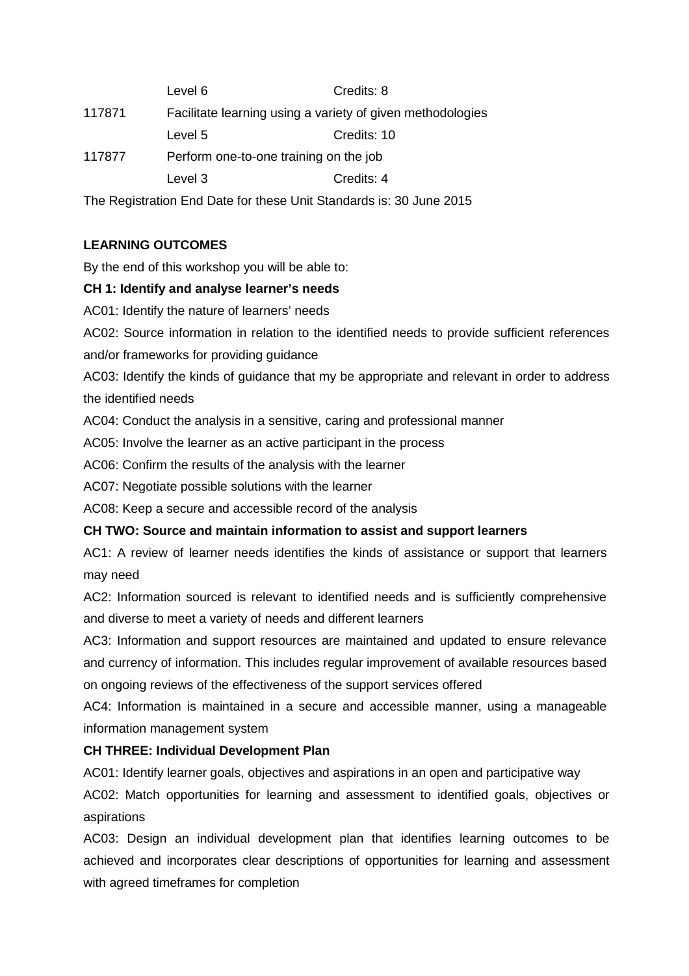|        | Level 6                                                    | Credits: 8  |  |
|--------|------------------------------------------------------------|-------------|--|
| 117871 | Facilitate learning using a variety of given methodologies |             |  |
|        | Level 5                                                    | Credits: 10 |  |
| 117877 | Perform one-to-one training on the job                     |             |  |
|        | Level 3                                                    | Credits: 4  |  |
|        |                                                            |             |  |

The Registration End Date for these Unit Standards is: 30 June 2015

# **LEARNING OUTCOMES**

By the end of this workshop you will be able to:

## **CH 1: Identify and analyse learner's needs**

AC01: Identify the nature of learners' needs

AC02: Source information in relation to the identified needs to provide sufficient references and/or frameworks for providing guidance

AC03: Identify the kinds of guidance that my be appropriate and relevant in order to address the identified needs

AC04: Conduct the analysis in a sensitive, caring and professional manner

AC05: Involve the learner as an active participant in the process

AC06: Confirm the results of the analysis with the learner

AC07: Negotiate possible solutions with the learner

AC08: Keep a secure and accessible record of the analysis

### **CH TWO: Source and maintain information to assist and support learners**

AC1: A review of learner needs identifies the kinds of assistance or support that learners may need

AC2: Information sourced is relevant to identified needs and is sufficiently comprehensive and diverse to meet a variety of needs and different learners

AC3: Information and support resources are maintained and updated to ensure relevance and currency of information. This includes regular improvement of available resources based on ongoing reviews of the effectiveness of the support services offered

AC4: Information is maintained in a secure and accessible manner, using a manageable information management system

## **CH THREE: Individual Development Plan**

AC01: Identify learner goals, objectives and aspirations in an open and participative way

AC02: Match opportunities for learning and assessment to identified goals, objectives or aspirations

AC03: Design an individual development plan that identifies learning outcomes to be achieved and incorporates clear descriptions of opportunities for learning and assessment with agreed timeframes for completion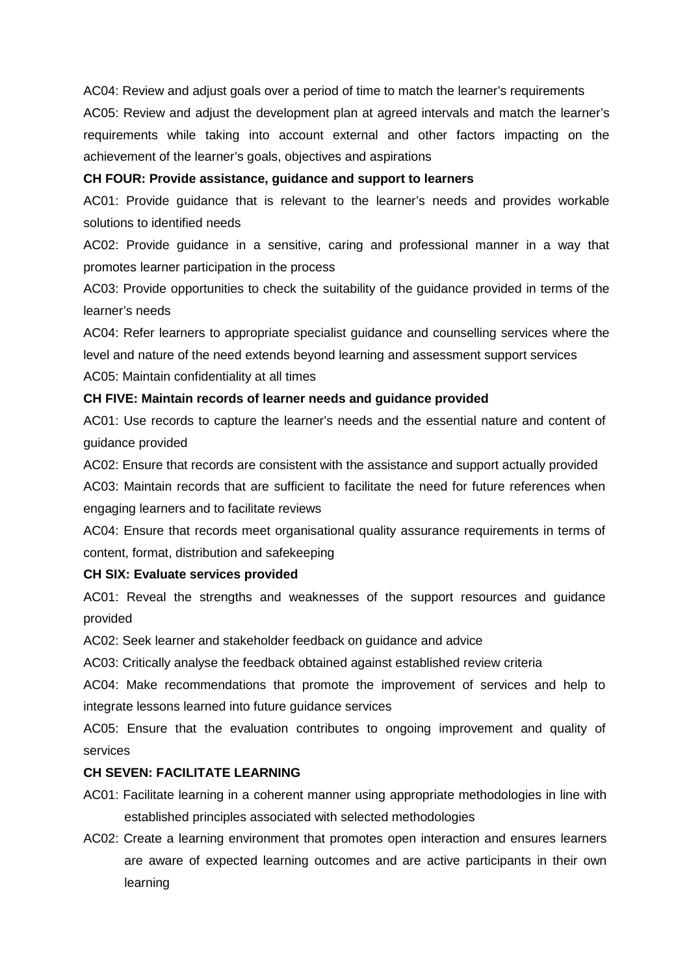AC04: Review and adjust goals over a period of time to match the learner's requirements

AC05: Review and adjust the development plan at agreed intervals and match the learner's requirements while taking into account external and other factors impacting on the achievement of the learner's goals, objectives and aspirations

#### **CH FOUR: Provide assistance, guidance and support to learners**

AC01: Provide guidance that is relevant to the learner's needs and provides workable solutions to identified needs

AC02: Provide guidance in a sensitive, caring and professional manner in a way that promotes learner participation in the process

AC03: Provide opportunities to check the suitability of the guidance provided in terms of the learner's needs

AC04: Refer learners to appropriate specialist guidance and counselling services where the level and nature of the need extends beyond learning and assessment support services

AC05: Maintain confidentiality at all times

#### **CH FIVE: Maintain records of learner needs and guidance provided**

AC01: Use records to capture the learner's needs and the essential nature and content of guidance provided

AC02: Ensure that records are consistent with the assistance and support actually provided

AC03: Maintain records that are sufficient to facilitate the need for future references when engaging learners and to facilitate reviews

AC04: Ensure that records meet organisational quality assurance requirements in terms of content, format, distribution and safekeeping

#### **CH SIX: Evaluate services provided**

AC01: Reveal the strengths and weaknesses of the support resources and guidance provided

AC02: Seek learner and stakeholder feedback on guidance and advice

AC03: Critically analyse the feedback obtained against established review criteria

AC04: Make recommendations that promote the improvement of services and help to integrate lessons learned into future guidance services

AC05: Ensure that the evaluation contributes to ongoing improvement and quality of services

### **CH SEVEN: FACILITATE LEARNING**

- AC01: Facilitate learning in a coherent manner using appropriate methodologies in line with established principles associated with selected methodologies
- AC02: Create a learning environment that promotes open interaction and ensures learners are aware of expected learning outcomes and are active participants in their own learning